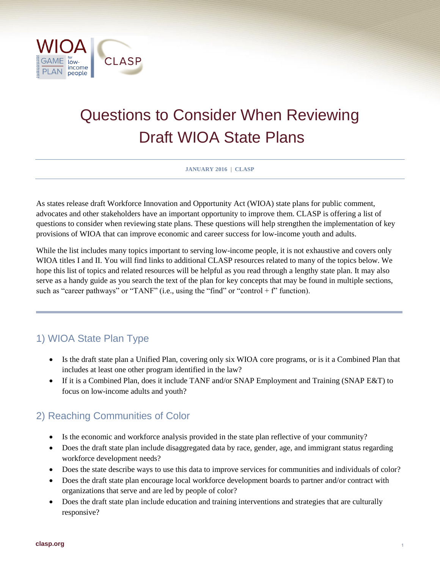

# Questions to Consider When Reviewing Draft WIOA State Plans

**JANUARY 2016 | CLASP**

As states release draft Workforce Innovation and Opportunity Act (WIOA) state plans for public comment, advocates and other stakeholders have an important opportunity to improve them. CLASP is offering a list of questions to consider when reviewing state plans. These questions will help strengthen the implementation of key provisions of WIOA that can improve economic and career success for low-income youth and adults.

While the list includes many topics important to serving low-income people, it is not exhaustive and covers only WIOA titles I and II. You will find links to additional CLASP resources related to many of the topics below. We hope this list of topics and related resources will be helpful as you read through a lengthy state plan. It may also serve as a handy guide as you search the text of the plan for key concepts that may be found in multiple sections, such as "career pathways" or "TANF" (i.e., using the "find" or "control + f" function).

# 1) WIOA State Plan Type

- Is the draft state plan a Unified Plan, covering only six WIOA core programs, or is it a Combined Plan that includes at least one other program identified in the law?
- If it is a Combined Plan, does it include TANF and/or SNAP Employment and Training (SNAP E&T) to focus on low-income adults and youth?

# 2) Reaching Communities of Color

- Is the economic and workforce analysis provided in the state plan reflective of your community?
- Does the draft state plan include disaggregated data by race, gender, age, and immigrant status regarding workforce development needs?
- Does the state describe ways to use this data to improve services for communities and individuals of color?
- Does the draft state plan encourage local workforce development boards to partner and/or contract with organizations that serve and are led by people of color?
- Does the draft state plan include education and training interventions and strategies that are culturally responsive?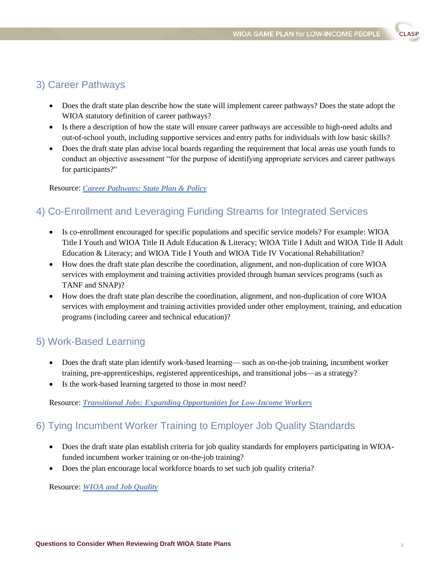# **CLASP**

#### 3) Career Pathways

- Does the draft state plan describe how the state will implement career pathways? Does the state adopt the WIOA statutory definition of career pathways?
- Is there a description of how the state will ensure career pathways are accessible to high-need adults and out-of-school youth, including supportive services and entry paths for individuals with low basic skills?
- Does the draft state plan advise local boards regarding the requirement that local areas use youth funds to conduct an objective assessment "for the purpose of identifying appropriate services and career pathways for participants?"

#### Resource: *[Career Pathways: State Plan & Policy](http://www.clasp.org/resources-and-publications/publication-1/State-Career-Pathways-memo.pdf)*

#### 4) Co-Enrollment and Leveraging Funding Streams for Integrated Services

- Is co-enrollment encouraged for specific populations and specific service models? For example: WIOA Title I Youth and WIOA Title II Adult Education & Literacy; WIOA Title I Adult and WIOA Title II Adult Education & Literacy; and WIOA Title I Youth and WIOA Title IV Vocational Rehabilitation?
- How does the draft state plan describe the coordination, alignment, and non-duplication of core WIOA services with employment and training activities provided through human services programs (such as TANF and SNAP)?
- How does the draft state plan describe the coordination, alignment, and non-duplication of core WIOA services with employment and training activities provided under other employment, training, and education programs (including career and technical education)?

#### 5) Work-Based Learning

- Does the draft state plan identify work-based learning— such as on-the-job training, incumbent worker training, pre-apprenticeships, registered apprenticeships, and transitional jobs—as a strategy?
- Is the work-based learning targeted to those in most need?

Resource: *[Transitional Jobs: Expanding Opportunities for Low-Income Workers](http://www.clasp.org/resources-and-publications/publication-1/WIOA-Transitional-Jobs-memo.pdf)*

# 6) Tying Incumbent Worker Training to Employer Job Quality Standards

- Does the draft state plan establish criteria for job quality standards for employers participating in WIOAfunded incumbent worker training or on-the-job training?
- Does the plan encourage local workforce boards to set such job quality criteria?

Resource: *[WIOA and Job Quality](http://www.clasp.org/resources-and-publications/publication-1/WIOA-and-Job-Quality-memo.pdf)*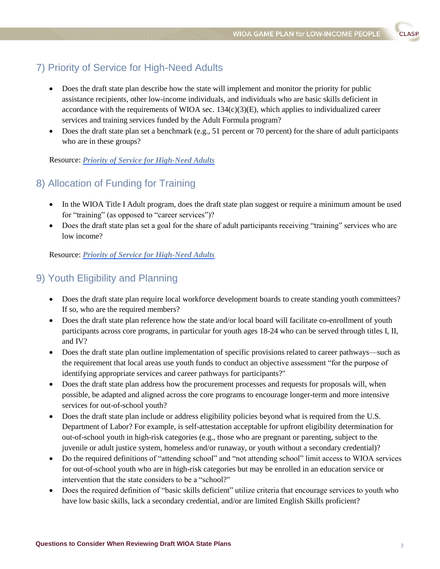**CLASP** 

# 7) Priority of Service for High-Need Adults

- Does the draft state plan describe how the state will implement and monitor the priority for public assistance recipients, other low-income individuals, and individuals who are basic skills deficient in accordance with the requirements of WIOA sec.  $134(c)(3)(E)$ , which applies to individualized career services and training services funded by the Adult Formula program?
- $\bullet$  Does the draft state plan set a benchmark (e.g., 51 percent or 70 percent) for the share of adult participants who are in these groups?

Resource: *[Priority of Service for High-Need Adults](http://www.clasp.org/resources-and-publications/publication-1/Priority-of-Service-for-High-Need-Adults-memo.pdf)*

#### 8) Allocation of Funding for Training

- In the WIOA Title I Adult program, does the draft state plan suggest or require a minimum amount be used for "training" (as opposed to "career services")?
- Does the draft state plan set a goal for the share of adult participants receiving "training" services who are low income?

Resource: *[Priority of Service for High-Need Adults](http://www.clasp.org/resources-and-publications/publication-1/Priority-of-Service-for-High-Need-Adults-memo.pdf)*

#### 9) Youth Eligibility and Planning

- Does the draft state plan require local workforce development boards to create standing youth committees? If so, who are the required members?
- Does the draft state plan reference how the state and/or local board will facilitate co-enrollment of youth participants across core programs, in particular for youth ages 18-24 who can be served through titles I, II, and IV?
- Does the draft state plan outline implementation of specific provisions related to career pathways—such as the requirement that local areas use youth funds to conduct an objective assessment "for the purpose of identifying appropriate services and career pathways for participants?"
- Does the draft state plan address how the procurement processes and requests for proposals will, when possible, be adapted and aligned across the core programs to encourage longer-term and more intensive services for out-of-school youth?
- Does the draft state plan include or address eligibility policies beyond what is required from the U.S. Department of Labor? For example, is self-attestation acceptable for upfront eligibility determination for out-of-school youth in high-risk categories (e.g., those who are pregnant or parenting, subject to the juvenile or adult justice system, homeless and/or runaway, or youth without a secondary credential)?
- Do the required definitions of "attending school" and "not attending school" limit access to WIOA services for out-of-school youth who are in high-risk categories but may be enrolled in an education service or intervention that the state considers to be a "school?"
- Does the required definition of "basic skills deficient" utilize criteria that encourage services to youth who have low basic skills, lack a secondary credential, and/or are limited English Skills proficient?